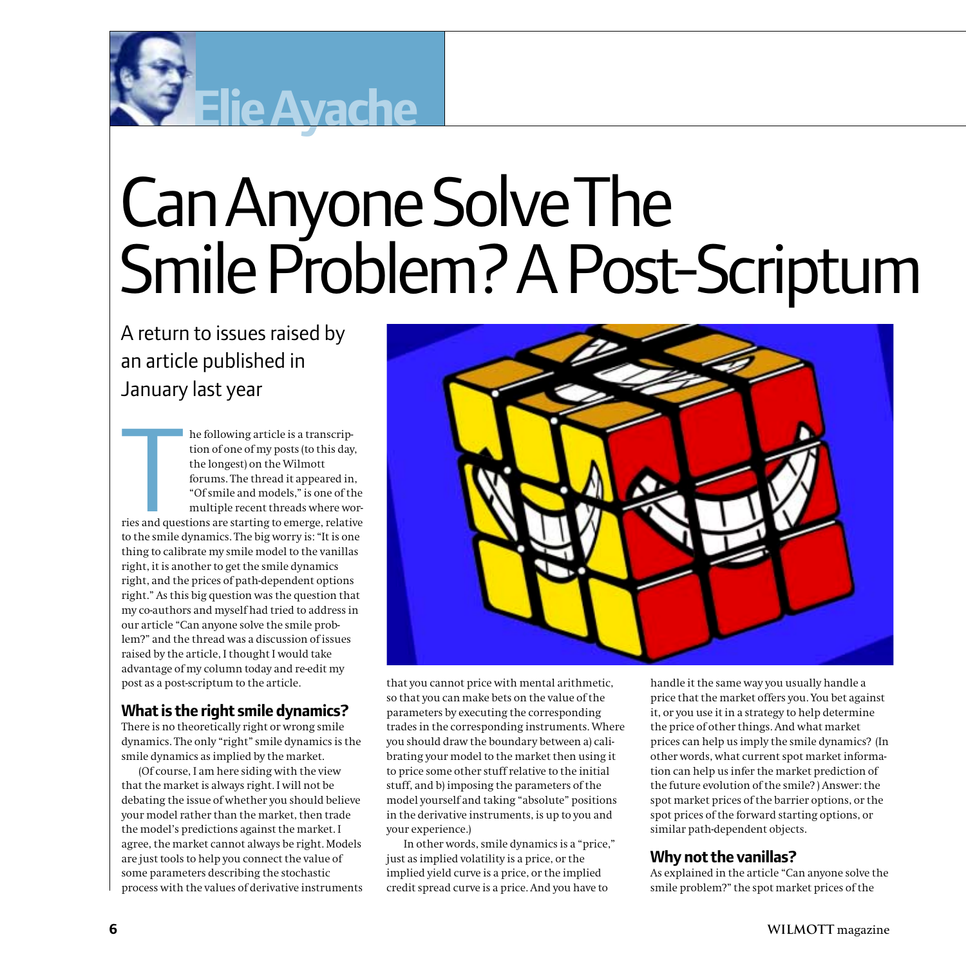

# Can Anyone Solve The Smile Problem? A Post-Scriptum

A return to issues raised by an article published in January last year

**Elie Ayache**

The stand quest to the smile of he following article is a transcription of one of my posts (to this day, the longest) on the Wilmott forums. The thread it appeared in, "Of smile and models," is one of the multiple recent threads where worries and questions are starting to emerge, relative to the smile dynamics. The big worry is: "It is one thing to calibrate my smile model to the vanillas right, it is another to get the smile dynamics right, and the prices of path-dependent options right." As this big question was the question that my co-authors and myself had tried to address in our article "Can anyone solve the smile problem?" and the thread was a discussion of issues raised by the article, I thought I would take advantage of my column today and re-edit my post as a post-scriptum to the article.

## **What is the right smile dynamics?**

There is no theoretically right or wrong smile dynamics. The only "right" smile dynamics is the smile dynamics as implied by the market.

(Of course, I am here siding with the view that the market is always right. I will not be debating the issue of whether you should believe your model rather than the market, then trade the model's predictions against the market. I agree, the market cannot always be right. Models are just tools to help you connect the value of some parameters describing the stochastic process with the values of derivative instruments



that you cannot price with mental arithmetic, so that you can make bets on the value of the parameters by executing the corresponding trades in the corresponding instruments. Where you should draw the boundary between a) calibrating your model to the market then using it to price some other stuff relative to the initial stuff, and b) imposing the parameters of the model yourself and taking "absolute" positions in the derivative instruments, is up to you and your experience.)

In other words, smile dynamics is a "price," just as implied volatility is a price, or the implied yield curve is a price, or the implied credit spread curve is a price. And you have to

handle it the same way you usually handle a price that the market offers you. You bet against it, or you use it in a strategy to help determine the price of other things. And what market prices can help us imply the smile dynamics? (In other words, what current spot market information can help us infer the market prediction of the future evolution of the smile? ) Answer: the spot market prices of the barrier options, or the spot prices of the forward starting options, or similar path-dependent objects.

# **Why not the vanillas?**

As explained in the article "Can anyone solve the smile problem?" the spot market prices of the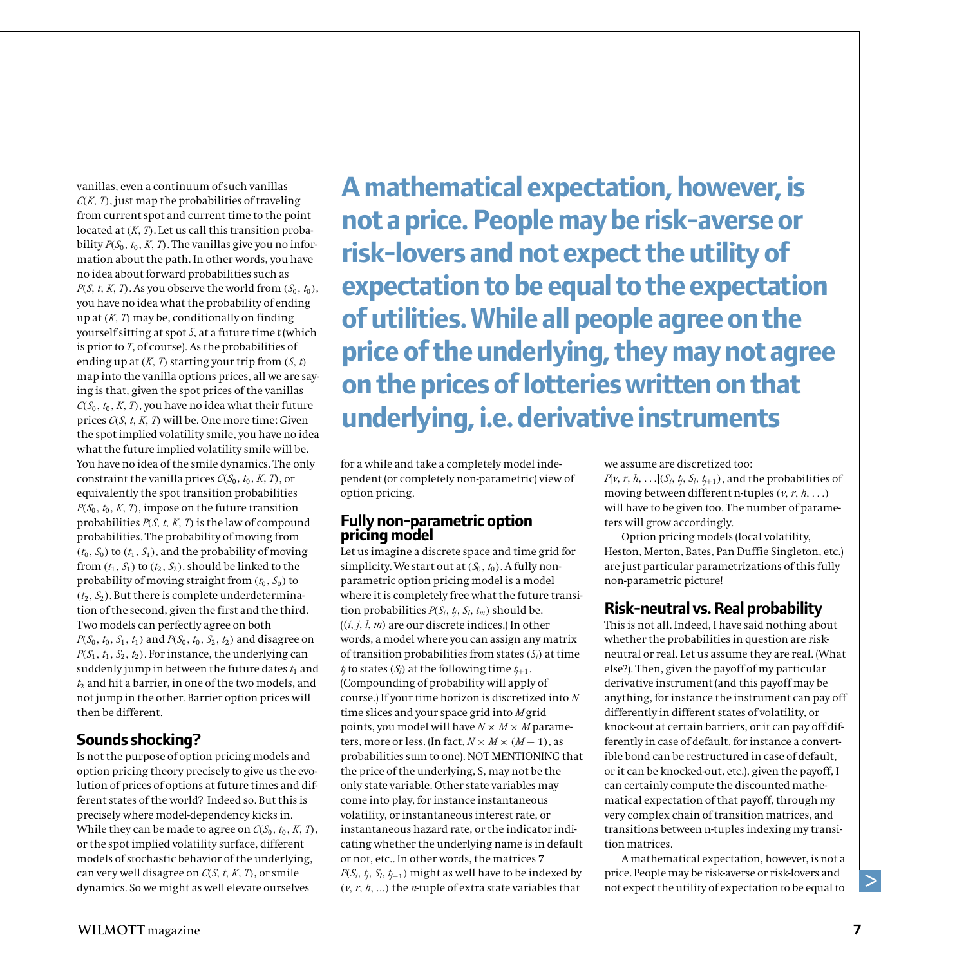vanillas, even a continuum of such vanillas *<sup>C</sup>(K, <sup>T</sup>)*, just map the probabilities of traveling from current spot and current time to the point located at *(K, <sup>T</sup>)*. Let us call this transition probability  $P(S_0, t_0, K, T)$ . The vanillas give you no information about the path. In other words, you have no idea about forward probabilities such as *P*(*S*, *t*, *K*, *T*). As you observe the world from  $(S_0, t_0)$ , you have no idea what the probability of ending up at *(K, <sup>T</sup>)* may be, conditionally on finding yourself sitting at spot *S*, at a future time *t* (which is prior to *T*, of course). As the probabilities of ending up at *(K, <sup>T</sup>)* starting your trip from *(S, <sup>t</sup>)* map into the vanilla options prices, all we are saying is that, given the spot prices of the vanillas  $C(S_0, t_0, K, T)$ , you have no idea what their future prices *C(S, <sup>t</sup>, <sup>K</sup>, <sup>T</sup>)* will be. One more time: Given the spot implied volatility smile, you have no idea what the future implied volatility smile will be. You have no idea of the smile dynamics. The only constraint the vanilla prices  $C(S_0, t_0, K, T)$ , or equivalently the spot transition probabilities  $P(S_0, t_0, K, T)$ , impose on the future transition probabilities *P(S, <sup>t</sup>, <sup>K</sup>, <sup>T</sup>)* is the law of compound probabilities. The probability of moving from  $(t_0, S_0)$  to  $(t_1, S_1)$ , and the probability of moving from  $(t_1, S_1)$  to  $(t_2, S_2)$ , should be linked to the probability of moving straight from  $(t_0, S_0)$  to  $(t_2, S_2)$ . But there is complete underdetermination of the second, given the first and the third. Two models can perfectly agree on both  $P(S_0, t_0, S_1, t_1)$  and  $P(S_0, t_0, S_2, t_2)$  and disagree on  $P(S_1, t_1, S_2, t_2)$ . For instance, the underlying can suddenly jump in between the future dates  $t_1$  and  $t_2$  and hit a barrier, in one of the two models, and not jump in the other. Barrier option prices will then be different.

## **Sounds shocking?**

Is not the purpose of option pricing models and option pricing theory precisely to give us the evolution of prices of options at future times and different states of the world? Indeed so. But this is precisely where model-dependency kicks in. While they can be made to agree on  $C(S_0, t_0, K, T)$ , or the spot implied volatility surface, different models of stochastic behavior of the underlying, can very well disagree on *C(S, <sup>t</sup>, <sup>K</sup>, <sup>T</sup>)*, or smile dynamics. So we might as well elevate ourselves

**A mathematical expectation, however, is not a price. People may be risk-averse or risk-lovers and not expect the utility of expectation to be equal to the expectation of utilities. While all people agree on the price of the underlying, they may not agree on the prices of lotteries written on that underlying, i.e. derivative instruments**

for a while and take a completely model independent (or completely non-parametric) view of option pricing.

## **Fully non-parametric option pricing model**

Let us imagine a discrete space and time grid for simplicity. We start out at  $(S_0, t_0)$ . A fully nonparametric option pricing model is a model where it is completely free what the future transition probabilities  $P(S_i, t_i, S_i, t_m)$  should be. (*(i, j, <sup>l</sup>, <sup>m</sup>)* are our discrete indices.) In other words, a model where you can assign any matrix of transition probabilities from states *(<sup>S</sup>i)* at time  $t_i$  to states  $(S_i)$  at the following time  $t_{i+1}$ . (Compounding of probability will apply of course.) If your time horizon is discretized into *<sup>N</sup>* time slices and your space grid into *<sup>M</sup>* grid points, you model will have  $N \times M \times M$  parameters, more or less. (In fact,  $N \times M \times (M - 1)$ , as probabilities sum to one). NOT MENTIONING that the price of the underlying, S, may not be the only state variable. Other state variables may come into play, for instance instantaneous volatility, or instantaneous interest rate, or instantaneous hazard rate, or the indicator indicating whether the underlying name is in default or not, etc.. In other words, the matrices 7  $P(S_i, t_j, S_l, t_{j+1})$  might as well have to be indexed by *(v,r, <sup>h</sup>, ...)* the *n*-tuple of extra state variables that

we assume are discretized too:

 $P[\nu, r, h, \ldots]$  $(S_i, t_j, S_l, t_{i+1})$ , and the probabilities of moving between different n-tuples  $(\nu, r, h, \ldots)$ will have to be given too. The number of parameters will grow accordingly.

Option pricing models (local volatility, Heston, Merton, Bates, Pan Duffie Singleton, etc.) are just particular parametrizations of this fully non-parametric picture!

# **Risk-neutral vs. Real probability**

This is not all. Indeed, I have said nothing about whether the probabilities in question are riskneutral or real. Let us assume they are real. (What else?). Then, given the payoff of my particular derivative instrument (and this payoff may be anything, for instance the instrument can pay off differently in different states of volatility, or knock-out at certain barriers, or it can pay off differently in case of default, for instance a convertible bond can be restructured in case of default, or it can be knocked-out, etc.), given the payoff, I can certainly compute the discounted mathematical expectation of that payoff, through my very complex chain of transition matrices, and transitions between n-tuples indexing my transition matrices.

A mathematical expectation, however, is not a price. People may be risk-averse or risk-lovers and not expect the utility of expectation to be equal to

 $\,>$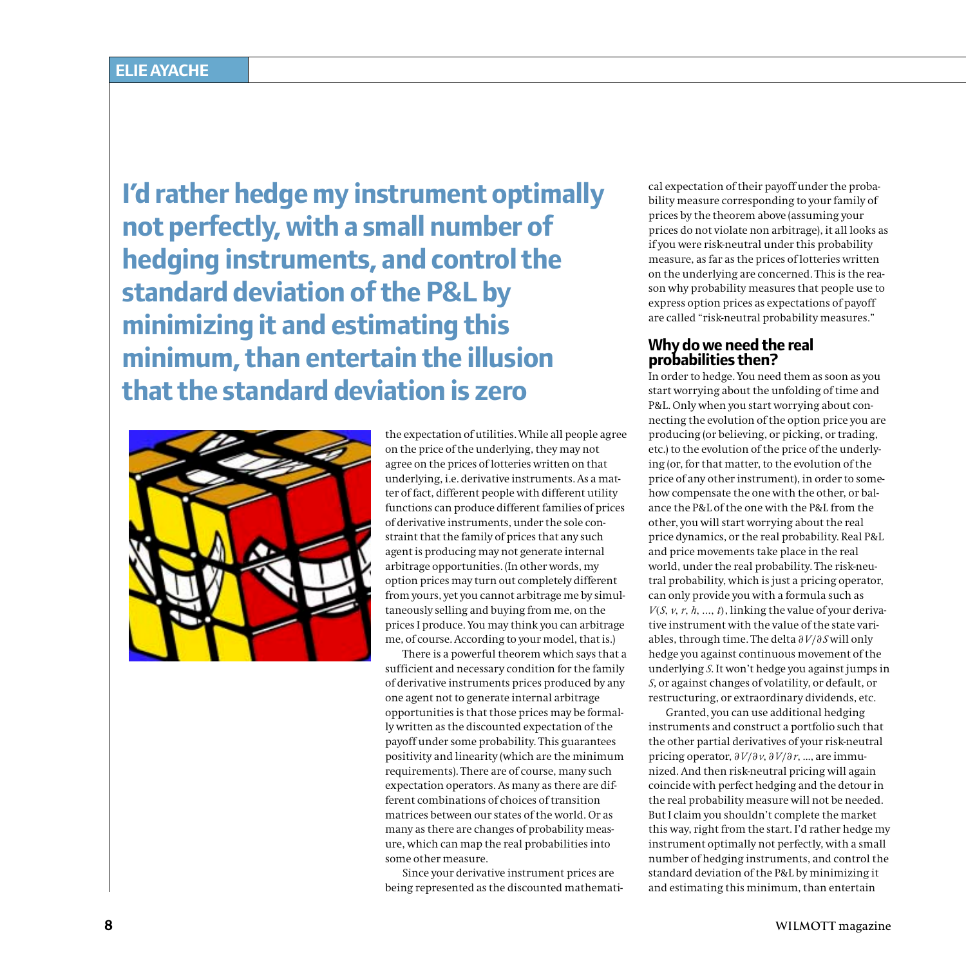**I'd rather hedge my instrument optimally not perfectly, with a small number of hedging instruments, and control the standard deviation of the P&L by minimizing it and estimating this minimum, than entertain the illusion that the standard deviation is zero**



the expectation of utilities. While all people agree on the price of the underlying, they may not agree on the prices of lotteries written on that underlying, i.e. derivative instruments. As a matter of fact, different people with different utility functions can produce different families of prices of derivative instruments, under the sole constraint that the family of prices that any such agent is producing may not generate internal arbitrage opportunities. (In other words, my option prices may turn out completely different from yours, yet you cannot arbitrage me by simultaneously selling and buying from me, on the prices I produce. You may think you can arbitrage me, of course. According to your model, that is.)

There is a powerful theorem which says that a sufficient and necessary condition for the family of derivative instruments prices produced by any one agent not to generate internal arbitrage opportunities is that those prices may be formally written as the discounted expectation of the payoff under some probability. This guarantees positivity and linearity (which are the minimum requirements). There are of course, many such expectation operators. As many as there are different combinations of choices of transition matrices between our states of the world. Or as many as there are changes of probability measure, which can map the real probabilities into some other measure.

Since your derivative instrument prices are being represented as the discounted mathemati-

cal expectation of their payoff under the probability measure corresponding to your family of prices by the theorem above (assuming your prices do not violate non arbitrage), it all looks as if you were risk-neutral under this probability measure, as far as the prices of lotteries written on the underlying are concerned. This is the reason why probability measures that people use to express option prices as expectations of payoff are called "risk-neutral probability measures."

#### **Why do we need the real probabilities then?**

In order to hedge. You need them as soon as you start worrying about the unfolding of time and P&L. Only when you start worrying about connecting the evolution of the option price you are producing (or believing, or picking, or trading, etc.) to the evolution of the price of the underlying (or, for that matter, to the evolution of the price of any other instrument), in order to somehow compensate the one with the other, or balance the P&L of the one with the P&L from the other, you will start worrying about the real price dynamics, or the real probability. Real P&L and price movements take place in the real world, under the real probability. The risk-neutral probability, which is just a pricing operator, can only provide you with a formula such as  $V(S, v, r, h, ..., t)$ , linking the value of your derivative instrument with the value of the state variables, through time. The delta *∂V/∂<sup>S</sup>* will only hedge you against continuous movement of the underlying *S*. It won't hedge you against jumps in *<sup>S</sup>*, or against changes of volatility, or default, or restructuring, or extraordinary dividends, etc.

Granted, you can use additional hedging instruments and construct a portfolio such that the other partial derivatives of your risk-neutral pricing operator, *∂V/∂v*, *∂V/∂r*, ..., are immunized. And then risk-neutral pricing will again coincide with perfect hedging and the detour in the real probability measure will not be needed. But I claim you shouldn't complete the market this way, right from the start. I'd rather hedge my instrument optimally not perfectly, with a small number of hedging instruments, and control the standard deviation of the P&L by minimizing it and estimating this minimum, than entertain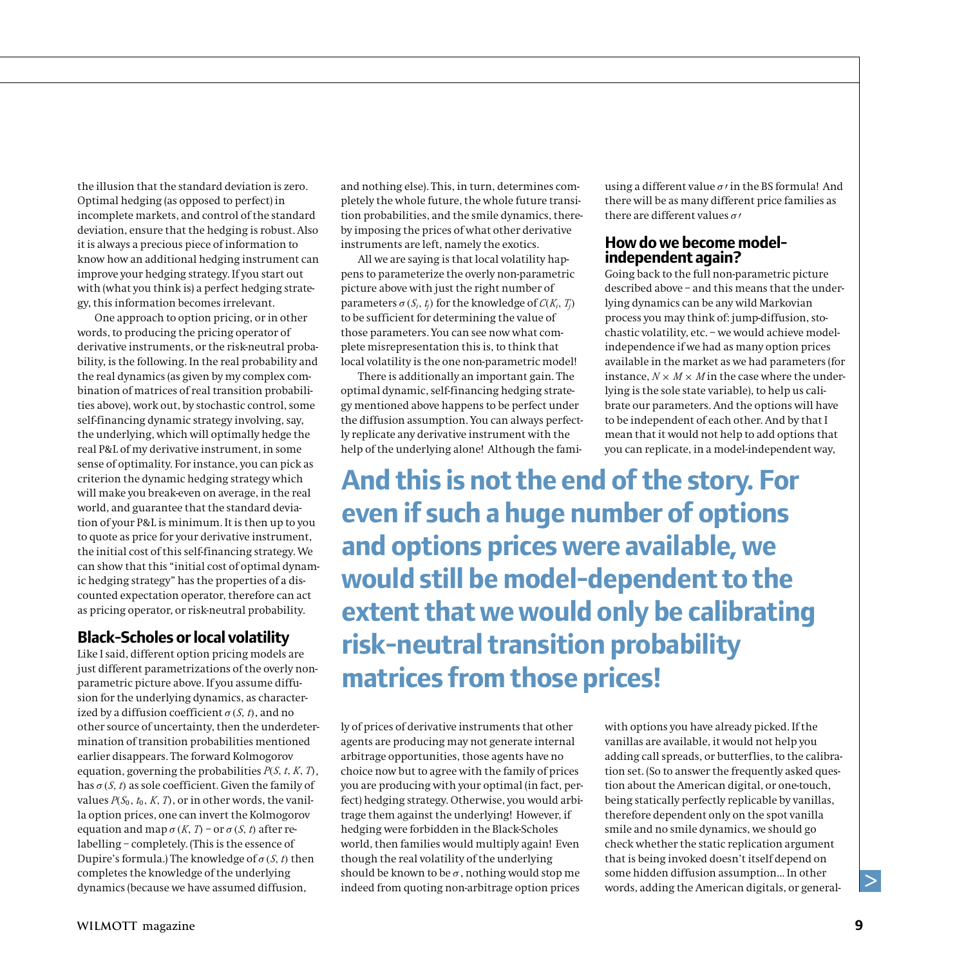the illusion that the standard deviation is zero. Optimal hedging (as opposed to perfect) in incomplete markets, and control of the standard deviation, ensure that the hedging is robust. Also it is always a precious piece of information to know how an additional hedging instrument can improve your hedging strategy. If you start out with (what you think is) a perfect hedging strategy, this information becomes irrelevant.

One approach to option pricing, or in other words, to producing the pricing operator of derivative instruments, or the risk-neutral probability, is the following. In the real probability and the real dynamics (as given by my complex combination of matrices of real transition probabilities above), work out, by stochastic control, some self-financing dynamic strategy involving, say, the underlying, which will optimally hedge the real P&L of my derivative instrument, in some sense of optimality. For instance, you can pick as criterion the dynamic hedging strategy which will make you break-even on average, in the real world, and guarantee that the standard deviation of your P&L is minimum. It is then up to you to quote as price for your derivative instrument, the initial cost of this self-financing strategy. We can show that this "initial cost of optimal dynamic hedging strategy" has the properties of a discounted expectation operator, therefore can act as pricing operator, or risk-neutral probability.

## **Black-Scholes or local volatility**

Like I said, different option pricing models are just different parametrizations of the overly nonparametric picture above. If you assume diffusion for the underlying dynamics, as characterized by a diffusion coefficient  $\sigma$  (*S*, *t*), and no other source of uncertainty, then the underdetermination of transition probabilities mentioned earlier disappears. The forward Kolmogorov equation, governing the probabilities *P(S, <sup>t</sup>, <sup>K</sup>, <sup>T</sup>)*, has  $\sigma$  (*S*, *t*) as sole coefficient. Given the family of values  $P(S_0, t_0, K, T)$ , or in other words, the vanilla option prices, one can invert the Kolmogorov equation and map  $\sigma$  (*K*, *T*) – or  $\sigma$  (*S*, *t*) after relabelling – completely. (This is the essence of Dupire's formula.) The knowledge of  $\sigma(S, t)$  then completes the knowledge of the underlying dynamics (because we have assumed diffusion,

and nothing else). This, in turn, determines completely the whole future, the whole future transition probabilities, and the smile dynamics, thereby imposing the prices of what other derivative instruments are left, namely the exotics.

All we are saying is that local volatility happens to parameterize the overly non-parametric picture above with just the right number of **parameters**  $σ(S_i, t_j)$  for the knowledge of  $C(K_i, T_j)$ to be sufficient for determining the value of those parameters. You can see now what complete misrepresentation this is, to think that local volatility is the one non-parametric model!

There is additionally an important gain. The optimal dynamic, self-financing hedging strategy mentioned above happens to be perfect under the diffusion assumption. You can always perfectly replicate any derivative instrument with the help of the underlying alone! Although the famiusing a different value  $\sigma$  *i* in the BS formula! And there will be as many different price families as there are different values *σ*

#### **How do we become modelindependent again?**

Going back to the full non-parametric picture described above – and this means that the underlying dynamics can be any wild Markovian process you may think of: jump-diffusion, stochastic volatility, etc. – we would achieve modelindependence if we had as many option prices available in the market as we had parameters (for instance,  $N \times M \times M$  in the case where the underlying is the sole state variable), to help us calibrate our parameters. And the options will have to be independent of each other. And by that I mean that it would not help to add options that you can replicate, in a model-independent way,

**And this is not the end of the story. For even if such a huge number of options and options prices were available, we would still be model-dependent to the extent that we would only be calibrating risk-neutral transition probability matrices from those prices!** 

ly of prices of derivative instruments that other agents are producing may not generate internal arbitrage opportunities, those agents have no choice now but to agree with the family of prices you are producing with your optimal (in fact, perfect) hedging strategy. Otherwise, you would arbitrage them against the underlying! However, if hedging were forbidden in the Black-Scholes world, then families would multiply again! Even though the real volatility of the underlying should be known to be  $\sigma$ , nothing would stop me indeed from quoting non-arbitrage option prices

with options you have already picked. If the vanillas are available, it would not help you adding call spreads, or butterflies, to the calibration set. (So to answer the frequently asked question about the American digital, or one-touch, being statically perfectly replicable by vanillas, therefore dependent only on the spot vanilla smile and no smile dynamics, we should go check whether the static replication argument that is being invoked doesn't itself depend on some hidden diffusion assumption... In other words, adding the American digitals, or general-

 $\geq$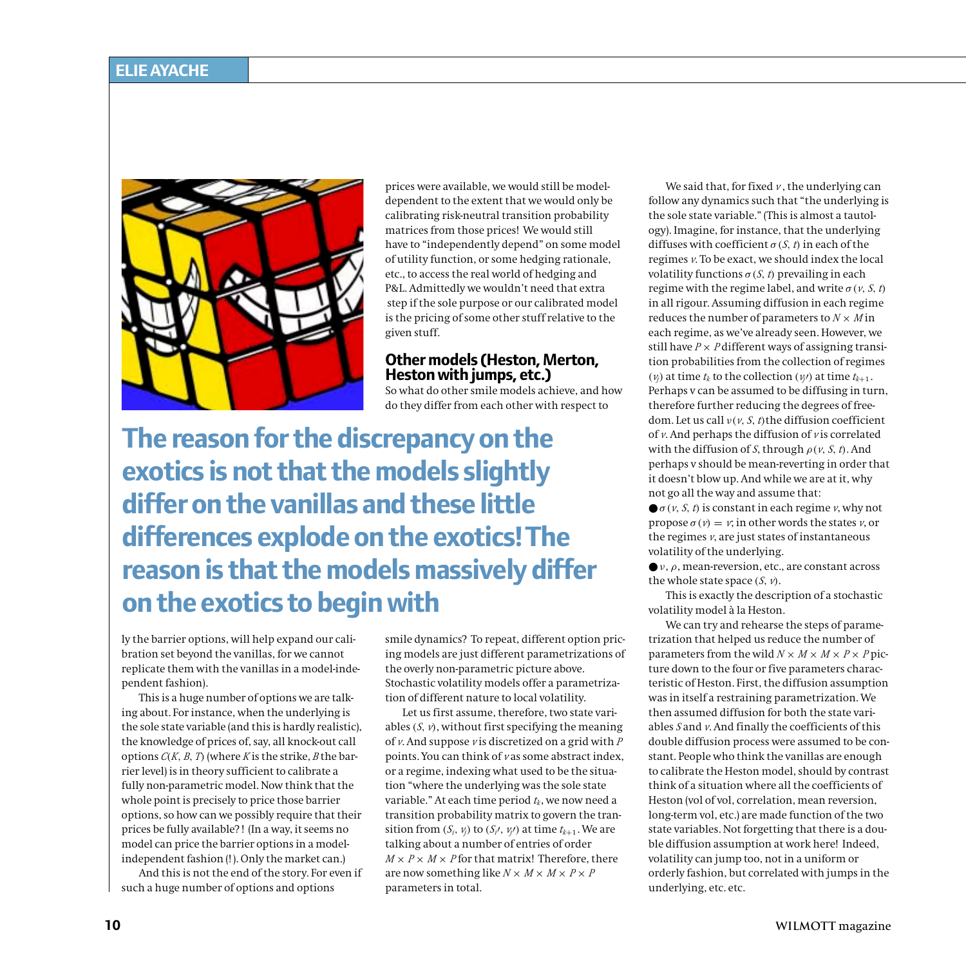

prices were available, we would still be modeldependent to the extent that we would only be calibrating risk-neutral transition probability matrices from those prices! We would still have to "independently depend" on some model of utility function, or some hedging rationale, etc., to access the real world of hedging and P&L. Admittedly we wouldn't need that extra step if the sole purpose or our calibrated model is the pricing of some other stuff relative to the given stuff.

#### **Other models (Heston, Merton, Heston with jumps, etc.)**

So what do other smile models achieve, and how do they differ from each other with respect to

**The reason for the discrepancy on the exotics is not that the models slightly differ on the vanillas and these little differences explode on the exotics! The reason is that the models massively differ on the exotics to begin with**

ly the barrier options, will help expand our calibration set beyond the vanillas, for we cannot replicate them with the vanillas in a model-independent fashion).

This is a huge number of options we are talking about. For instance, when the underlying is the sole state variable (and this is hardly realistic), the knowledge of prices of, say, all knock-out call options  $C(K, B, T)$  (where *K* is the strike, *B* the barrier level) is in theory sufficient to calibrate a fully non-parametric model. Now think that the whole point is precisely to price those barrier options, so how can we possibly require that their prices be fully available? ! (In a way, it seems no model can price the barrier options in a modelindependent fashion (! ). Only the market can.)

And this is not the end of the story. For even if such a huge number of options and options

smile dynamics? To repeat, different option pricing models are just different parametrizations of the overly non-parametric picture above. Stochastic volatility models offer a parametrization of different nature to local volatility.

Let us first assume, therefore, two state variables  $(S, v)$ , without first specifying the meaning of *v*. And suppose *<sup>v</sup>* is discretized on a grid with *<sup>P</sup>* points. You can think of *<sup>v</sup>* as some abstract index, or a regime, indexing what used to be the situation "where the underlying was the sole state variable." At each time period *<sup>t</sup>k*, we now need a transition probability matrix to govern the transition from  $(S_i, v_j)$  to  $(S_{i'}, v_{j'})$  at time  $t_{k+1}$ . We are talking about a number of entries of order  $M \times P \times M \times P$  for that matrix! Therefore, there are now something like  $N \times M \times M \times P \times P$ parameters in total.

We said that, for fixed  $\nu$ , the underlying can follow any dynamics such that "the underlying is the sole state variable." (This is almost a tautology). Imagine, for instance, that the underlying diffuses with coefficient  $\sigma(S, t)$  in each of the regimes *v*. To be exact, we should index the local volatility functions  $\sigma(S, t)$  prevailing in each regime with the regime label, and write  $\sigma$  (*v*, *S*, *t*) in all rigour. Assuming diffusion in each regime reduces the number of parameters to  $N \times M$  in each regime, as we've already seen. However, we still have  $P \times P$  different ways of assigning transition probabilities from the collection of regimes *(v*<sub>*j*</sub>)</sub> at time  $t_k$  to the collection  $(v_i)$  at time  $t_{k+1}$ . Perhaps v can be assumed to be diffusing in turn, therefore further reducing the degrees of freedom. Let us call *ν(v, <sup>S</sup>, <sup>t</sup>)*the diffusion coefficient of *v*. And perhaps the diffusion of *<sup>v</sup>* is correlated with the diffusion of *S*, through  $\rho$  (*v*, *S*, *t*). And perhaps v should be mean-reverting in order that it doesn't blow up. And while we are at it, why not go all the way and assume that:

 $\bullet$   $\sigma$  (*v*, *S*, *t*) is constant in each regime *v*, why not propose *σ (v)* = *<sup>v</sup>*; in other words the states *v*, or the regimes *v*, are just states of instantaneous volatility of the underlying.

● *ν*, *ρ*, mean-reversion, etc., are constant across the whole state space  $(S, \nu)$ .

This is exactly the description of a stochastic volatility model à la Heston.

We can try and rehearse the steps of parametrization that helped us reduce the number of parameters from the wild  $N \times M \times M \times P \times P$  picture down to the four or five parameters characteristic of Heston. First, the diffusion assumption was in itself a restraining parametrization. We then assumed diffusion for both the state variables *<sup>S</sup>* and *v*. And finally the coefficients of this double diffusion process were assumed to be constant. People who think the vanillas are enough to calibrate the Heston model, should by contrast think of a situation where all the coefficients of Heston (vol of vol, correlation, mean reversion, long-term vol, etc.) are made function of the two state variables. Not forgetting that there is a double diffusion assumption at work here! Indeed, volatility can jump too, not in a uniform or orderly fashion, but correlated with jumps in the underlying, etc. etc.